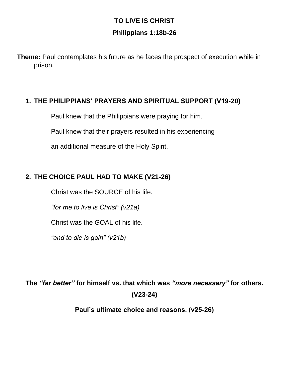## **TO LIVE IS CHRIST Philippians 1:18b-26**

**Theme:** Paul contemplates his future as he faces the prospect of execution while in prison.

## **1. THE PHILIPPIANS' PRAYERS AND SPIRITUAL SUPPORT (V19-20)**

Paul knew that the Philippians were praying for him.

Paul knew that their prayers resulted in his experiencing

an additional measure of the Holy Spirit.

## **2. THE CHOICE PAUL HAD TO MAKE (V21-26)**

Christ was the SOURCE of his life.

*"for me to live is Christ" (v21a)* 

Christ was the GOAL of his life.

*"and to die is gain" (v21b)*

**The** *"far better"* **for himself vs. that which was** *"more necessary"* **for others. (V23-24)**

**Paul's ultimate choice and reasons. (v25-26)**